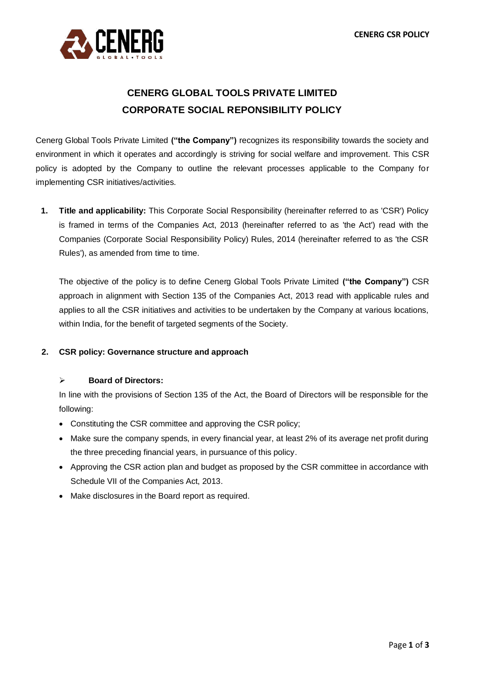

# **CENERG GLOBAL TOOLS PRIVATE LIMITED CORPORATE SOCIAL REPONSIBILITY POLICY**

Cenerg Global Tools Private Limited **("the Company")** recognizes its responsibility towards the society and environment in which it operates and accordingly is striving for social welfare and improvement. This CSR policy is adopted by the Company to outline the relevant processes applicable to the Company for implementing CSR initiatives/activities.

**1. Title and applicability:** This Corporate Social Responsibility (hereinafter referred to as 'CSR') Policy is framed in terms of the Companies Act, 2013 (hereinafter referred to as 'the Act') read with the Companies (Corporate Social Responsibility Policy) Rules, 2014 (hereinafter referred to as 'the CSR Rules'), as amended from time to time.

The objective of the policy is to define Cenerg Global Tools Private Limited **("the Company")** CSR approach in alignment with Section 135 of the Companies Act, 2013 read with applicable rules and applies to all the CSR initiatives and activities to be undertaken by the Company at various locations, within India, for the benefit of targeted segments of the Society.

### **2. CSR policy: Governance structure and approach**

### ➢ **Board of Directors:**

In line with the provisions of Section 135 of the Act, the Board of Directors will be responsible for the following:

- Constituting the CSR committee and approving the CSR policy;
- Make sure the company spends, in every financial year, at least 2% of its average net profit during the three preceding financial years, in pursuance of this policy.
- Approving the CSR action plan and budget as proposed by the CSR committee in accordance with Schedule VII of the Companies Act, 2013.
- Make disclosures in the Board report as required.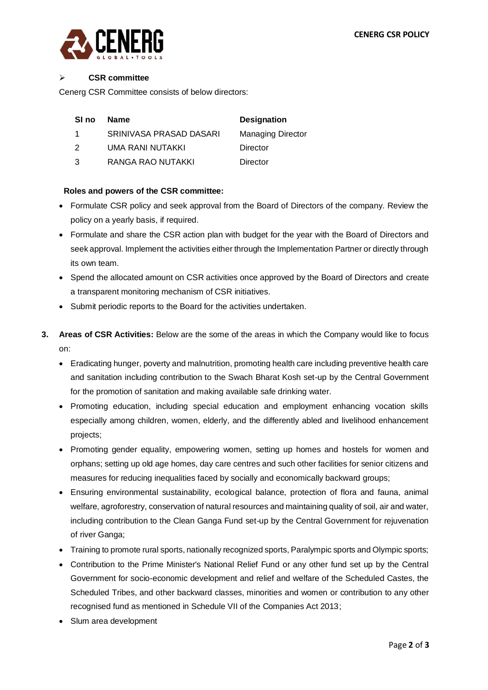

#### ➢ **CSR committee**

Cenerg CSR Committee consists of below directors:

| .SI no | <b>Name</b>             | <b>Designation</b>       |
|--------|-------------------------|--------------------------|
|        | SRINIVASA PRASAD DASARI | <b>Managing Director</b> |
| ່າ     | UMA RANI NUTAKKI        | Director                 |

3 RANGA RAO NUTAKKI Director

## **Roles and powers of the CSR committee:**

- Formulate CSR policy and seek approval from the Board of Directors of the company. Review the policy on a yearly basis, if required.
- Formulate and share the CSR action plan with budget for the year with the Board of Directors and seek approval. Implement the activities either through the Implementation Partner or directly through its own team.
- Spend the allocated amount on CSR activities once approved by the Board of Directors and create a transparent monitoring mechanism of CSR initiatives.
- Submit periodic reports to the Board for the activities undertaken.
- **3. Areas of CSR Activities:** Below are the some of the areas in which the Company would like to focus on:
	- Eradicating hunger, poverty and malnutrition, promoting health care including preventive health care and sanitation including contribution to the Swach Bharat Kosh set-up by the Central Government for the promotion of sanitation and making available safe drinking water.
	- Promoting education, including special education and employment enhancing vocation skills especially among children, women, elderly, and the differently abled and livelihood enhancement projects;
	- Promoting gender equality, empowering women, setting up homes and hostels for women and orphans; setting up old age homes, day care centres and such other facilities for senior citizens and measures for reducing inequalities faced by socially and economically backward groups;
	- Ensuring environmental sustainability, ecological balance, protection of flora and fauna, animal welfare, agroforestry, conservation of natural resources and maintaining quality of soil, air and water, including contribution to the Clean Ganga Fund set-up by the Central Government for rejuvenation of river Ganga;
	- Training to promote rural sports, nationally recognized sports, Paralympic sports and Olympic sports;
	- Contribution to the Prime Minister's National Relief Fund or any other fund set up by the Central Government for socio-economic development and relief and welfare of the Scheduled Castes, the Scheduled Tribes, and other backward classes, minorities and women or contribution to any other recognised fund as mentioned in Schedule VII of the Companies Act 2013;
	- Slum area development